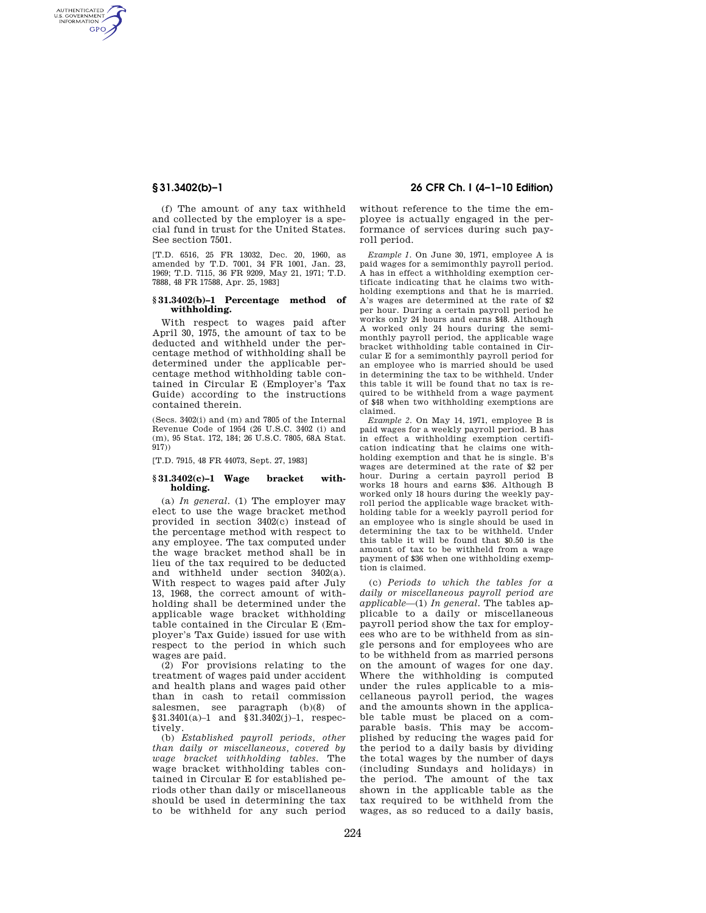AUTHENTICATED<br>U.S. GOVERNMENT<br>INFORMATION **GPO** 

> (f) The amount of any tax withheld and collected by the employer is a special fund in trust for the United States. See section 7501.

> [T.D. 6516, 25 FR 13032, Dec. 20, 1960, as amended by T.D. 7001, 34 FR 1001, Jan. 23, 1969; T.D. 7115, 36 FR 9209, May 21, 1971; T.D. 7888, 48 FR 17588, Apr. 25, 1983]

### **§ 31.3402(b)–1 Percentage method of withholding.**

With respect to wages paid after April 30, 1975, the amount of tax to be deducted and withheld under the percentage method of withholding shall be determined under the applicable percentage method withholding table contained in Circular E (Employer's Tax Guide) according to the instructions contained therein.

(Secs. 3402(i) and (m) and 7805 of the Internal Revenue Code of 1954 (26 U.S.C. 3402 (i) and (m), 95 Stat. 172, 184; 26 U.S.C. 7805, 68A Stat. 917))

[T.D. 7915, 48 FR 44073, Sept. 27, 1983]

# **§ 31.3402(c)–1 Wage bracket withholding.**

(a) *In general.* (1) The employer may elect to use the wage bracket method provided in section 3402(c) instead of the percentage method with respect to any employee. The tax computed under the wage bracket method shall be in lieu of the tax required to be deducted and withheld under section 3402(a). With respect to wages paid after July 13, 1968, the correct amount of withholding shall be determined under the applicable wage bracket withholding table contained in the Circular E (Employer's Tax Guide) issued for use with respect to the period in which such wages are paid.

(2) For provisions relating to the treatment of wages paid under accident and health plans and wages paid other than in cash to retail commission salesmen, see paragraph (b)(8) of §31.3401(a)–1 and §31.3402(j)–1, respectively.

(b) *Established payroll periods, other than daily or miscellaneous, covered by wage bracket withholding tables.* The wage bracket withholding tables contained in Circular E for established periods other than daily or miscellaneous should be used in determining the tax to be withheld for any such period

# **§ 31.3402(b)–1 26 CFR Ch. I (4–1–10 Edition)**

without reference to the time the employee is actually engaged in the performance of services during such payroll period.

*Example 1.* On June 30, 1971, employee A is paid wages for a semimonthly payroll period. A has in effect a withholding exemption certificate indicating that he claims two withholding exemptions and that he is married. A's wages are determined at the rate of \$2 per hour. During a certain payroll period he works only 24 hours and earns \$48. Although A worked only 24 hours during the semimonthly payroll period, the applicable wage bracket withholding table contained in Circular E for a semimonthly payroll period for an employee who is married should be used in determining the tax to be withheld. Under this table it will be found that no tax is required to be withheld from a wage payment of \$48 when two withholding exemptions are claimed.

*Example 2.* On May 14, 1971, employee B is paid wages for a weekly payroll period. B has in effect a withholding exemption certification indicating that he claims one withholding exemption and that he is single. B's wages are determined at the rate of \$2 per hour. During a certain payroll period B works 18 hours and earns \$36. Although B worked only 18 hours during the weekly payroll period the applicable wage bracket withholding table for a weekly payroll period for an employee who is single should be used in determining the tax to be withheld. Under this table it will be found that \$0.50 is the amount of tax to be withheld from a wage payment of \$36 when one withholding exemption is claimed.

(c) *Periods to which the tables for a daily or miscellaneous payroll period are applicable*—(1) *In general.* The tables applicable to a daily or miscellaneous payroll period show the tax for employees who are to be withheld from as single persons and for employees who are to be withheld from as married persons on the amount of wages for one day. Where the withholding is computed under the rules applicable to a miscellaneous payroll period, the wages and the amounts shown in the applicable table must be placed on a comparable basis. This may be accomplished by reducing the wages paid for the period to a daily basis by dividing the total wages by the number of days (including Sundays and holidays) in the period. The amount of the tax shown in the applicable table as the tax required to be withheld from the wages, as so reduced to a daily basis,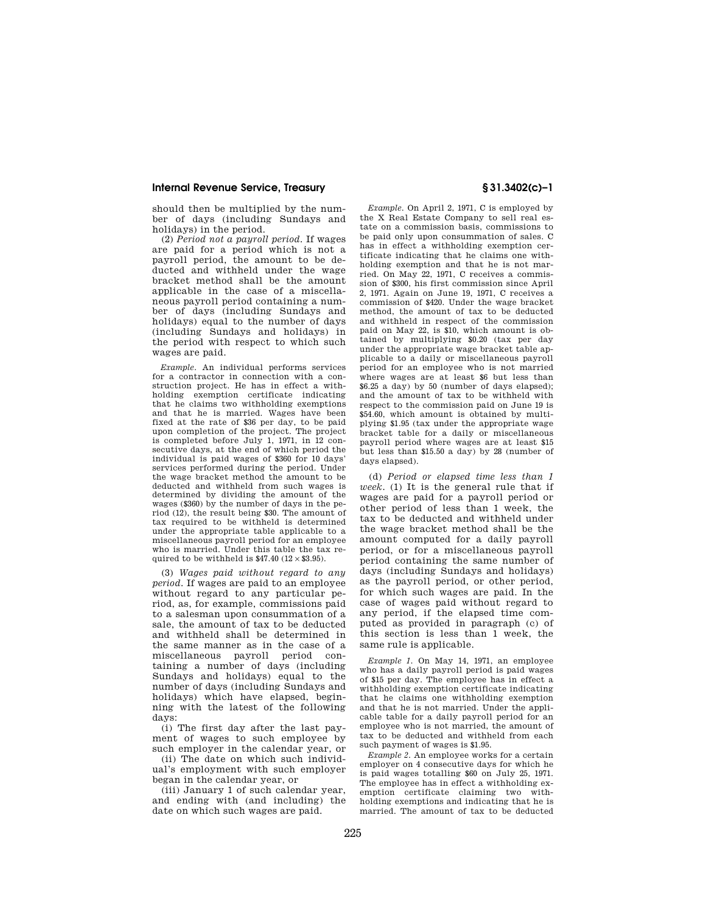# **Internal Revenue Service, Treasury § 31.3402(c)–1**

should then be multiplied by the number of days (including Sundays and holidays) in the period.

(2) *Period not a payroll period.* If wages are paid for a period which is not a payroll period, the amount to be deducted and withheld under the wage bracket method shall be the amount applicable in the case of a miscellaneous payroll period containing a number of days (including Sundays and holidays) equal to the number of days (including Sundays and holidays) in the period with respect to which such wages are paid.

*Example.* An individual performs services for a contractor in connection with a construction project. He has in effect a withholding exemption certificate indicating that he claims two withholding exemptions and that he is married. Wages have been fixed at the rate of \$36 per day, to be paid upon completion of the project. The project is completed before July 1, 1971, in 12 consecutive days, at the end of which period the individual is paid wages of \$360 for 10 days' services performed during the period. Under the wage bracket method the amount to be deducted and withheld from such wages is determined by dividing the amount of the wages (\$360) by the number of days in the period (12), the result being \$30. The amount of tax required to be withheld is determined under the appropriate table applicable to a miscellaneous payroll period for an employee who is married. Under this table the tax required to be withheld is \$47.40 ( $12 \times $3.95$ ).

(3) *Wages paid without regard to any period.* If wages are paid to an employee without regard to any particular period, as, for example, commissions paid to a salesman upon consummation of a sale, the amount of tax to be deducted and withheld shall be determined in the same manner as in the case of a miscellaneous payroll period containing a number of days (including Sundays and holidays) equal to the number of days (including Sundays and holidays) which have elapsed, beginning with the latest of the following days:

(i) The first day after the last payment of wages to such employee by such employer in the calendar year, or

(ii) The date on which such individual's employment with such employer began in the calendar year, or

(iii) January 1 of such calendar year, and ending with (and including) the date on which such wages are paid.

*Example.* On April 2, 1971, C is employed by the X Real Estate Company to sell real estate on a commission basis, commissions to be paid only upon consummation of sales. C has in effect a withholding exemption certificate indicating that he claims one withholding exemption and that he is not married. On May 22, 1971, C receives a commission of \$300, his first commission since April 2, 1971. Again on June 19, 1971, C receives a commission of \$420. Under the wage bracket method, the amount of tax to be deducted and withheld in respect of the commission paid on May 22, is \$10, which amount is obtained by multiplying \$0.20 (tax per day under the appropriate wage bracket table applicable to a daily or miscellaneous payroll period for an employee who is not married where wages are at least \$6 but less than \$6.25 a day) by 50 (number of days elapsed); and the amount of tax to be withheld with respect to the commission paid on June 19 is \$54.60, which amount is obtained by multiplying \$1.95 (tax under the appropriate wage bracket table for a daily or miscellaneous payroll period where wages are at least \$15 but less than \$15.50 a day) by 28 (number of days elapsed).

(d) *Period or elapsed time less than 1 week.* (1) It is the general rule that if wages are paid for a payroll period or other period of less than 1 week, the tax to be deducted and withheld under the wage bracket method shall be the amount computed for a daily payroll period, or for a miscellaneous payroll period containing the same number of days (including Sundays and holidays) as the payroll period, or other period, for which such wages are paid. In the case of wages paid without regard to any period, if the elapsed time computed as provided in paragraph (c) of this section is less than 1 week, the same rule is applicable.

*Example 1.* On May 14, 1971, an employee who has a daily payroll period is paid wages of \$15 per day. The employee has in effect a withholding exemption certificate indicating that he claims one withholding exemption and that he is not married. Under the applicable table for a daily payroll period for an employee who is not married, the amount of tax to be deducted and withheld from each such payment of wages is \$1.95.

*Example 2.* An employee works for a certain employer on 4 consecutive days for which he is paid wages totalling \$60 on July 25, 1971. The employee has in effect a withholding exemption certificate claiming two withholding exemptions and indicating that he is married. The amount of tax to be deducted